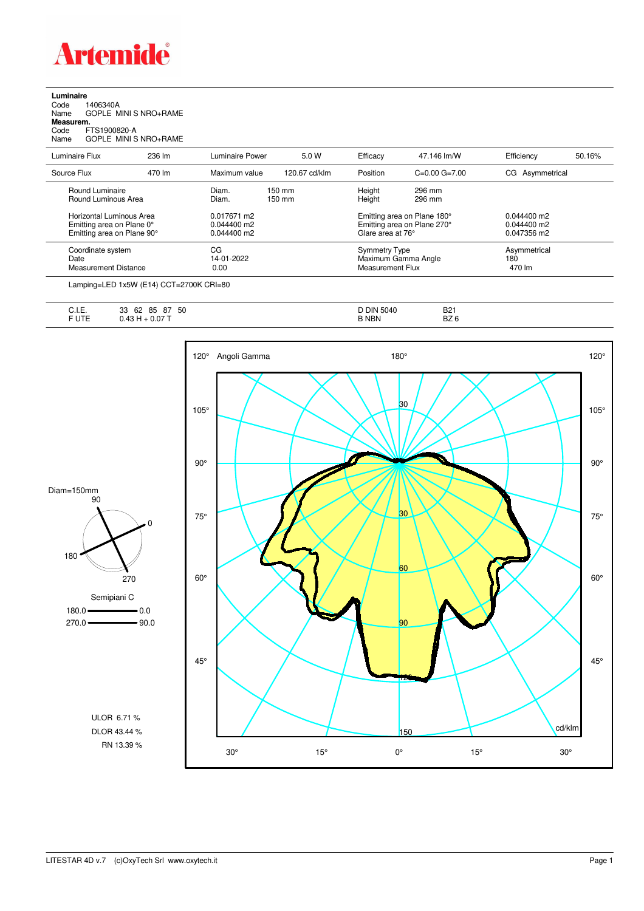

**Luminaire**<br>Code 1<br>Name ( Code 1406340A Name GOPLE MINI S NRO+RAME **Measurem.** Code FTS1900820-A Name GOPLE MINI S NRO+RAME

| Luminaire Flux                                                                      | 236 lm | Luminaire Power                               | 5.0 W            | Efficacy                                                        | 47.146 lm/W                                                                     | Efficiency                                    | 50.16% |
|-------------------------------------------------------------------------------------|--------|-----------------------------------------------|------------------|-----------------------------------------------------------------|---------------------------------------------------------------------------------|-----------------------------------------------|--------|
| Source Flux                                                                         | 470 lm | Maximum value                                 | 120.67 cd/klm    | Position                                                        | $C=0.00$ $G=7.00$                                                               | CG Asymmetrical                               |        |
| Round Luminaire<br>Round Luminous Area                                              |        | Diam.<br>Diam.                                | 150 mm<br>150 mm | Height<br>Height                                                | 296 mm<br>296 mm                                                                |                                               |        |
| Horizontal Luminous Area<br>Emitting area on Plane 0°<br>Emitting area on Plane 90° |        | 0.017671 m2<br>$0.044400$ m2<br>$0.044400$ m2 |                  |                                                                 | Emitting area on Plane 180°<br>Emitting area on Plane 270°<br>Glare area at 76° | $0.044400$ m2<br>$0.044400$ m2<br>0.047356 m2 |        |
| Coordinate system<br>Date<br>Measurement Distance                                   |        | CG<br>14-01-2022<br>0.00                      |                  | <b>Symmetry Type</b><br>Maximum Gamma Angle<br>Measurement Flux |                                                                                 | Asymmetrical<br>180<br>470 lm                 |        |

Lamping=LED 1x5W (E14) CCT=2700K CRI=80

| $\cdot$ $\cdot$ $\sim$<br>--<br>◡… | 50<br>85<br>62<br>ດສ<br>33<br>$\sigma$ | 5040<br><b>DIN</b> | <b>B21</b> |
|------------------------------------|----------------------------------------|--------------------|------------|
| $-$<br>◡੶∟                         | ، ل<br><u>т.</u>                       | 3 NBN              | DZC<br>DZ. |